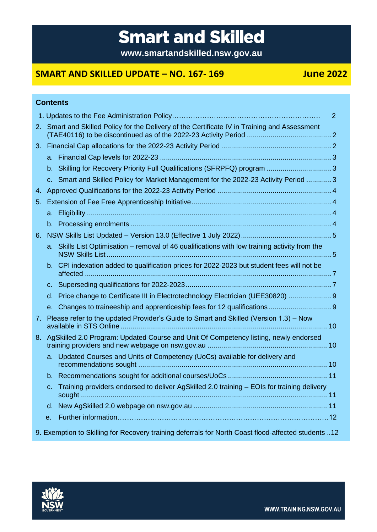# **Smart and Skilled**

**www.smartandskilled.nsw.gov.au**

# **SMART AND SKILLED UPDATE – NO. 167- 169 June 2022**

|    |    | <b>Contents</b>                                                                                     |                |
|----|----|-----------------------------------------------------------------------------------------------------|----------------|
|    |    |                                                                                                     | $\overline{2}$ |
| 2. |    | Smart and Skilled Policy for the Delivery of the Certificate IV in Training and Assessment          |                |
|    |    |                                                                                                     |                |
|    |    |                                                                                                     |                |
|    |    | b. Skilling for Recovery Priority Full Qualifications (SFRPFQ) program 3                            |                |
|    |    | c. Smart and Skilled Policy for Market Management for the 2022-23 Activity Period 3                 |                |
| 4. |    |                                                                                                     |                |
| 5. |    |                                                                                                     |                |
|    |    |                                                                                                     |                |
|    |    |                                                                                                     |                |
| 6. |    |                                                                                                     |                |
|    | а. | Skills List Optimisation - removal of 46 qualifications with low training activity from the         |                |
|    |    | b. CPI indexation added to qualification prices for 2022-2023 but student fees will not be          |                |
|    |    |                                                                                                     |                |
|    | d. | Price change to Certificate III in Electrotechnology Electrician (UEE30820)  9                      |                |
|    |    |                                                                                                     |                |
| 7. |    | Please refer to the updated Provider's Guide to Smart and Skilled (Version 1.3) – Now               |                |
| 8. |    | AgSkilled 2.0 Program: Updated Course and Unit Of Competency listing, newly endorsed                |                |
|    |    | a. Updated Courses and Units of Competency (UoCs) available for delivery and                        |                |
|    |    |                                                                                                     |                |
|    | C. | Training providers endorsed to deliver AgSkilled 2.0 training - EOIs for training delivery          |                |
|    | d. |                                                                                                     |                |
|    | е. |                                                                                                     |                |
|    |    | 9. Exemption to Skilling for Recovery training deferrals for North Coast flood-affected students 12 |                |

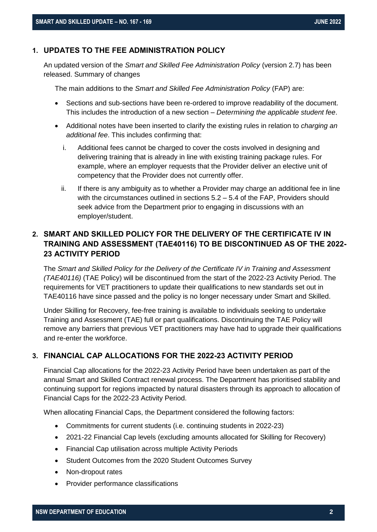# <span id="page-1-0"></span>**1. UPDATES TO THE FEE ADMINISTRATION POLICY**

An updated version of the *Smart and Skilled Fee Administration Policy* (version 2.7) has been released. Summary of changes

The main additions to the *Smart and Skilled Fee Administration Policy* (FAP) are:

- Sections and sub-sections have been re-ordered to improve readability of the document. This includes the introduction of a new section – *Determining the applicable student fee*.
- Additional notes have been inserted to clarify the existing rules in relation to *charging an additional fee*. This includes confirming that:
	- i. Additional fees cannot be charged to cover the costs involved in designing and delivering training that is already in line with existing training package rules. For example, where an employer requests that the Provider deliver an elective unit of competency that the Provider does not currently offer.
	- ii. If there is any ambiguity as to whether a Provider may charge an additional fee in line with the circumstances outlined in sections 5.2 – 5.4 of the FAP, Providers should seek advice from the Department prior to engaging in discussions with an employer/student.

# <span id="page-1-1"></span>**2. SMART AND SKILLED POLICY FOR THE DELIVERY OF THE CERTIFICATE IV IN TRAINING AND ASSESSMENT (TAE40116) TO BE DISCONTINUED AS OF THE 2022- 23 ACTIVITY PERIOD**

The *Smart and Skilled Policy for the Delivery of the Certificate IV in Training and Assessment (TAE40116)* (TAE Policy) will be discontinued from the start of the 2022-23 Activity Period. The requirements for VET practitioners to update their qualifications to new standards set out in TAE40116 have since passed and the policy is no longer necessary under Smart and Skilled.

Under Skilling for Recovery, fee-free training is available to individuals seeking to undertake Training and Assessment (TAE) full or part qualifications. Discontinuing the TAE Policy will remove any barriers that previous VET practitioners may have had to upgrade their qualifications and re-enter the workforce.

# <span id="page-1-2"></span>**3. FINANCIAL CAP ALLOCATIONS FOR THE 2022-23 ACTIVITY PERIOD**

Financial Cap allocations for the 2022-23 Activity Period have been undertaken as part of the annual Smart and Skilled Contract renewal process. The Department has prioritised stability and continuing support for regions impacted by natural disasters through its approach to allocation of Financial Caps for the 2022-23 Activity Period.

When allocating Financial Caps, the Department considered the following factors:

- Commitments for current students (i.e. continuing students in 2022-23)
- 2021-22 Financial Cap levels (excluding amounts allocated for Skilling for Recovery)
- Financial Cap utilisation across multiple Activity Periods
- Student Outcomes from the 2020 Student Outcomes Survey
- Non-dropout rates
- Provider performance classifications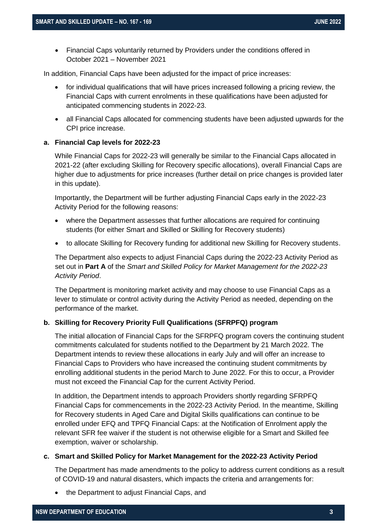• Financial Caps voluntarily returned by Providers under the conditions offered in October 2021 – November 2021

In addition, Financial Caps have been adjusted for the impact of price increases:

- for individual qualifications that will have prices increased following a pricing review, the Financial Caps with current enrolments in these qualifications have been adjusted for anticipated commencing students in 2022-23.
- all Financial Caps allocated for commencing students have been adjusted upwards for the CPI price increase.

#### <span id="page-2-0"></span>**a. Financial Cap levels for 2022-23**

While Financial Caps for 2022-23 will generally be similar to the Financial Caps allocated in 2021-22 (after excluding Skilling for Recovery specific allocations), overall Financial Caps are higher due to adjustments for price increases (further detail on price changes is provided later in this update).

Importantly, the Department will be further adjusting Financial Caps early in the 2022-23 Activity Period for the following reasons:

- where the Department assesses that further allocations are required for continuing students (for either Smart and Skilled or Skilling for Recovery students)
- to allocate Skilling for Recovery funding for additional new Skilling for Recovery students.

The Department also expects to adjust Financial Caps during the 2022-23 Activity Period as set out in **Part A** of the *Smart and Skilled Policy for Market Management for the 2022-23 Activity Period*.

The Department is monitoring market activity and may choose to use Financial Caps as a lever to stimulate or control activity during the Activity Period as needed, depending on the performance of the market.

#### <span id="page-2-1"></span>**b. Skilling for Recovery Priority Full Qualifications (SFRPFQ) program**

The initial allocation of Financial Caps for the SFRPFQ program covers the continuing student commitments calculated for students notified to the Department by 21 March 2022. The Department intends to review these allocations in early July and will offer an increase to Financial Caps to Providers who have increased the continuing student commitments by enrolling additional students in the period March to June 2022. For this to occur, a Provider must not exceed the Financial Cap for the current Activity Period.

In addition, the Department intends to approach Providers shortly regarding SFRPFQ Financial Caps for commencements in the 2022-23 Activity Period. In the meantime, Skilling for Recovery students in Aged Care and Digital Skills qualifications can continue to be enrolled under EFQ and TPFQ Financial Caps: at the Notification of Enrolment apply the relevant SFR fee waiver if the student is not otherwise eligible for a Smart and Skilled fee exemption, waiver or scholarship.

#### <span id="page-2-2"></span>**c. Smart and Skilled Policy for Market Management for the 2022-23 Activity Period**

The Department has made amendments to the policy to address current conditions as a result of COVID-19 and natural disasters, which impacts the criteria and arrangements for:

• the Department to adjust Financial Caps, and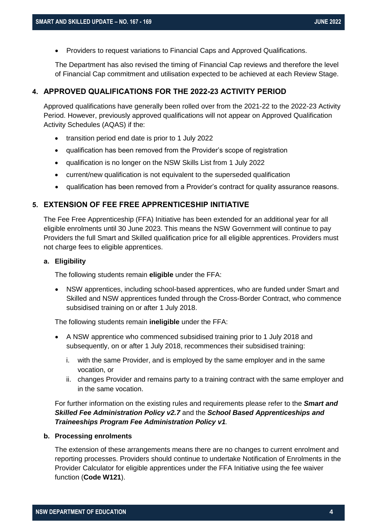• Providers to request variations to Financial Caps and Approved Qualifications.

The Department has also revised the timing of Financial Cap reviews and therefore the level of Financial Cap commitment and utilisation expected to be achieved at each Review Stage.

#### <span id="page-3-0"></span>**4. APPROVED QUALIFICATIONS FOR THE 2022-23 ACTIVITY PERIOD**

Approved qualifications have generally been rolled over from the 2021-22 to the 2022-23 Activity Period. However, previously approved qualifications will not appear on Approved Qualification Activity Schedules (AQAS) if the:

- transition period end date is prior to 1 July 2022
- qualification has been removed from the Provider's scope of registration
- qualification is no longer on the NSW Skills List from 1 July 2022
- current/new qualification is not equivalent to the superseded qualification
- qualification has been removed from a Provider's contract for quality assurance reasons.

# <span id="page-3-1"></span>**5. EXTENSION OF FEE FREE APPRENTICESHIP INITIATIVE**

The Fee Free Apprenticeship (FFA) Initiative has been extended for an additional year for all eligible enrolments until 30 June 2023. This means the NSW Government will continue to pay Providers the full Smart and Skilled qualification price for all eligible apprentices. Providers must not charge fees to eligible apprentices.

#### <span id="page-3-2"></span>**a. Eligibility**

The following students remain **eligible** under the FFA:

• NSW apprentices, including school-based apprentices, who are funded under Smart and Skilled and NSW apprentices funded through the Cross-Border Contract, who commence subsidised training on or after 1 July 2018.

The following students remain **ineligible** under the FFA:

- A NSW apprentice who commenced subsidised training prior to 1 July 2018 and subsequently, on or after 1 July 2018, recommences their subsidised training:
	- i. with the same Provider, and is employed by the same employer and in the same vocation, or
	- ii. changes Provider and remains party to a training contract with the same employer and in the same vocation.

For further information on the existing rules and requirements please refer to the *Smart and Skilled Fee Administration Policy v2.7* and the *School Based Apprenticeships and Traineeships Program Fee Administration Policy v1.*

#### <span id="page-3-3"></span>**b. Processing enrolments**

The extension of these arrangements means there are no changes to current enrolment and reporting processes. Providers should continue to undertake Notification of Enrolments in the Provider Calculator for eligible apprentices under the FFA Initiative using the fee waiver function (**Code W121**).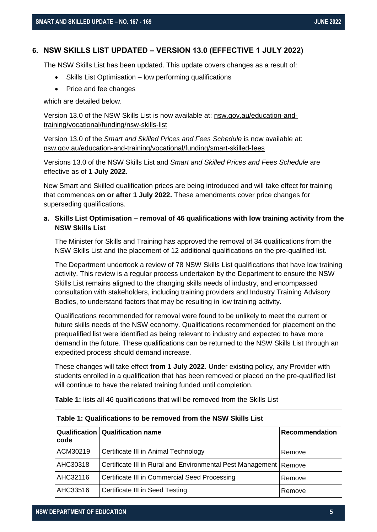#### <span id="page-4-0"></span>**6. NSW SKILLS LIST UPDATED – VERSION 13.0 (EFFECTIVE 1 JULY 2022)**

The NSW Skills List has been updated. This update covers changes as a result of:

- Skills List Optimisation low performing qualifications
- Price and fee changes

which are detailed below.

Version 13.0 of the NSW Skills List is now available at: [nsw.gov.au/education-and](https://www.nsw.gov.au/education-and-training/vocational/funding/nsw-skills-list)[training/vocational/funding/nsw-skills-list](https://www.nsw.gov.au/education-and-training/vocational/funding/nsw-skills-list)

Version 13.0 of the *Smart and Skilled Prices and Fees Schedule* is now available at: [nsw.gov.au/education-and-training/vocational/funding/smart-skilled-fees](https://www.nsw.gov.au/education-and-training/vocational/funding/smart-skilled-fees)

Versions 13.0 of the NSW Skills List and *Smart and Skilled Prices and Fees Schedule* are effective as of **1 July 2022**.

New Smart and Skilled qualification prices are being introduced and will take effect for training that commences **on or after 1 July 2022.** These amendments cover price changes for superseding qualifications.

# <span id="page-4-1"></span>**a. Skills List Optimisation – removal of 46 qualifications with low training activity from the NSW Skills List**

The Minister for Skills and Training has approved the removal of 34 qualifications from the NSW Skills List and the placement of 12 additional qualifications on the pre-qualified list.

The Department undertook a review of 78 NSW Skills List qualifications that have low training activity. This review is a regular process undertaken by the Department to ensure the NSW Skills List remains aligned to the changing skills needs of industry, and encompassed consultation with stakeholders, including training providers and Industry Training Advisory Bodies, to understand factors that may be resulting in low training activity.

Qualifications recommended for removal were found to be unlikely to meet the current or future skills needs of the NSW economy. Qualifications recommended for placement on the prequalified list were identified as being relevant to industry and expected to have more demand in the future. These qualifications can be returned to the NSW Skills List through an expedited process should demand increase.

These changes will take effect **from 1 July 2022**. Under existing policy, any Provider with students enrolled in a qualification that has been removed or placed on the pre-qualified list will continue to have the related training funded until completion.

| Table 1: Qualifications to be removed from the NSW Skills List |                                                                     |                |  |  |  |
|----------------------------------------------------------------|---------------------------------------------------------------------|----------------|--|--|--|
| code                                                           | Qualification   Qualification name                                  | Recommendation |  |  |  |
| ACM30219                                                       | Certificate III in Animal Technology                                | Remove         |  |  |  |
| AHC30318                                                       | Certificate III in Rural and Environmental Pest Management   Remove |                |  |  |  |
| AHC32116                                                       | Certificate III in Commercial Seed Processing                       | Remove         |  |  |  |
| <b>AHC33516</b>                                                | Certificate III in Seed Testing                                     | Remove         |  |  |  |

**Table 1:** lists all 46 qualifications that will be removed from the Skills List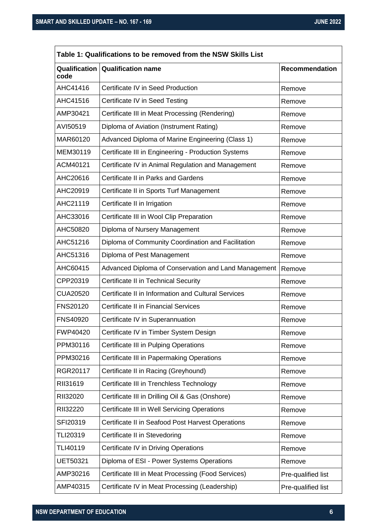$\overline{\phantom{a}}$ 

| Qualification    | <b>Qualification name</b>                            | <b>Recommendation</b> |
|------------------|------------------------------------------------------|-----------------------|
| code<br>AHC41416 | Certificate IV in Seed Production                    | Remove                |
| AHC41516         | Certificate IV in Seed Testing                       | Remove                |
| AMP30421         | Certificate III in Meat Processing (Rendering)       | Remove                |
| AVI50519         | Diploma of Aviation (Instrument Rating)              | Remove                |
| MAR60120         | Advanced Diploma of Marine Engineering (Class 1)     | Remove                |
| MEM30119         | Certificate III in Engineering - Production Systems  | Remove                |
| ACM40121         | Certificate IV in Animal Regulation and Management   | Remove                |
| AHC20616         | Certificate II in Parks and Gardens                  | Remove                |
| AHC20919         | Certificate II in Sports Turf Management             | Remove                |
| AHC21119         | Certificate II in Irrigation                         | Remove                |
| AHC33016         | Certificate III in Wool Clip Preparation             | Remove                |
| AHC50820         | Diploma of Nursery Management                        | Remove                |
| AHC51216         | Diploma of Community Coordination and Facilitation   | Remove                |
| AHC51316         | Diploma of Pest Management                           | Remove                |
| AHC60415         | Advanced Diploma of Conservation and Land Management | Remove                |
| CPP20319         | Certificate II in Technical Security                 | Remove                |
| <b>CUA20520</b>  | Certificate II in Information and Cultural Services  | Remove                |
| <b>FNS20120</b>  | <b>Certificate II in Financial Services</b>          | Remove                |
| <b>FNS40920</b>  | Certificate IV in Superannuation                     | Remove                |
| FWP40420         | Certificate IV in Timber System Design               | Remove                |
| PPM30116         | Certificate III in Pulping Operations                | Remove                |
| PPM30216         | Certificate III in Papermaking Operations            | Remove                |
| RGR20117         | Certificate II in Racing (Greyhound)                 | Remove                |
| RII31619         | Certificate III in Trenchless Technology             | Remove                |
| RII32020         | Certificate III in Drilling Oil & Gas (Onshore)      | Remove                |
| RII32220         | Certificate III in Well Servicing Operations         | Remove                |
| SFI20319         | Certificate II in Seafood Post Harvest Operations    | Remove                |
| TLI20319         | Certificate II in Stevedoring                        | Remove                |
| TLI40119         | Certificate IV in Driving Operations                 | Remove                |
| <b>UET50321</b>  | Diploma of ESI - Power Systems Operations            | Remove                |
| AMP30216         | Certificate III in Meat Processing (Food Services)   | Pre-qualified list    |
| AMP40315         | Certificate IV in Meat Processing (Leadership)       | Pre-qualified list    |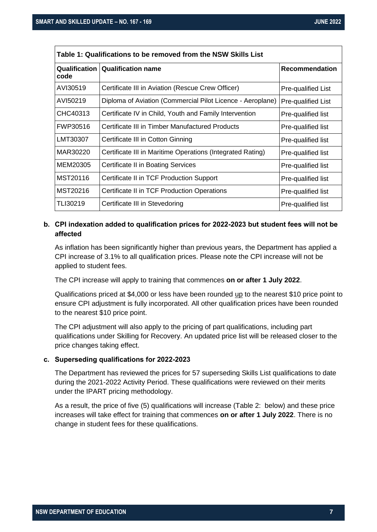| Table 1: Qualifications to be removed from the NSW Skills List |                                                            |                       |  |  |  |
|----------------------------------------------------------------|------------------------------------------------------------|-----------------------|--|--|--|
| code                                                           | Qualification   Qualification name                         | <b>Recommendation</b> |  |  |  |
| AVI30519                                                       | Certificate III in Aviation (Rescue Crew Officer)          | Pre-qualified List    |  |  |  |
| AVI50219                                                       | Diploma of Aviation (Commercial Pilot Licence - Aeroplane) | Pre-qualified List    |  |  |  |
| CHC40313                                                       | Certificate IV in Child, Youth and Family Intervention     | Pre-qualified list    |  |  |  |
| FWP30516                                                       | Certificate III in Timber Manufactured Products            | Pre-qualified list    |  |  |  |
| LMT30307                                                       | Certificate III in Cotton Ginning                          | Pre-qualified list    |  |  |  |
| MAR30220                                                       | Certificate III in Maritime Operations (Integrated Rating) | Pre-qualified list    |  |  |  |
| MEM20305                                                       | <b>Certificate II in Boating Services</b>                  | Pre-qualified list    |  |  |  |
| MST20116                                                       | Certificate II in TCF Production Support                   | Pre-qualified list    |  |  |  |
| MST20216                                                       | Certificate II in TCF Production Operations                | Pre-qualified list    |  |  |  |
| TLI30219                                                       | Certificate III in Stevedoring                             | Pre-qualified list    |  |  |  |

# <span id="page-6-0"></span>**b. CPI indexation added to qualification prices for 2022-2023 but student fees will not be affected**

As inflation has been significantly higher than previous years, the Department has applied a CPI increase of 3.1% to all qualification prices. Please note the CPI increase will not be applied to student fees.

The CPI increase will apply to training that commences **on or after 1 July 2022**.

Qualifications priced at \$4,000 or less have been rounded up to the nearest \$10 price point to ensure CPI adjustment is fully incorporated. All other qualification prices have been rounded to the nearest \$10 price point.

The CPI adjustment will also apply to the pricing of part qualifications, including part qualifications under Skilling for Recovery. An updated price list will be released closer to the price changes taking effect.

#### <span id="page-6-1"></span>**c. Superseding qualifications for 2022-2023**

The Department has reviewed the prices for 57 superseding Skills List qualifications to date during the 2021-2022 Activity Period. These qualifications were reviewed on their merits under the IPART pricing methodology.

As a result, the price of five (5) qualifications will increase (Table 2: below) and these price increases will take effect for training that commences **on or after 1 July 2022**. There is no change in student fees for these qualifications.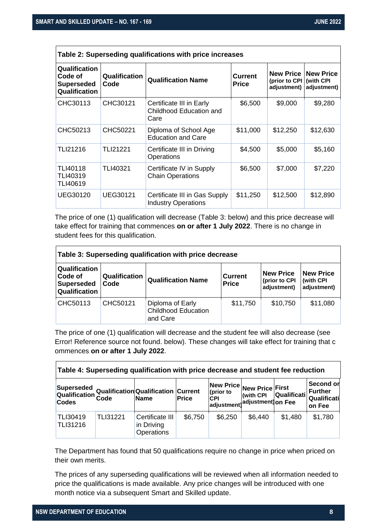$\mathsf{r}$ 

| Table 2: Superseding qualifications with price increases       |                              |                                                             |                                |                          |                                                             |  |  |
|----------------------------------------------------------------|------------------------------|-------------------------------------------------------------|--------------------------------|--------------------------|-------------------------------------------------------------|--|--|
| Qualification<br>Code of<br><b>Superseded</b><br>Qualification | <b>Qualification</b><br>Code | <b>Qualification Name</b>                                   | <b>Current</b><br><b>Price</b> | (prior to CPI (with CPI) | <b>New Price   New Price</b><br>adjustment) $ $ adjustment) |  |  |
| CHC30113                                                       | CHC30121                     | Certificate III in Early<br>Childhood Education and<br>Care | \$6,500                        | \$9,000                  | \$9,280                                                     |  |  |
| CHC50213                                                       | CHC50221                     | Diploma of School Age<br><b>Education and Care</b>          | \$11,000                       | \$12,250                 | \$12,630                                                    |  |  |
| TLI21216                                                       | <b>TLI21221</b>              | Certificate III in Driving<br>Operations                    | \$4,500                        | \$5,000                  | \$5,160                                                     |  |  |
| TLI40118<br>TLI40319<br>TLI40619                               | TLI40321                     | Certificate IV in Supply<br><b>Chain Operations</b>         | \$6,500                        | \$7,000                  | \$7,220                                                     |  |  |
| UEG30120                                                       | UEG30121                     | Certificate III in Gas Supply<br><b>Industry Operations</b> | \$11,250                       | \$12,500                 | \$12,890                                                    |  |  |

The price of one (1) qualification will decrease (Table 3: below) and this price decrease will take effect for training that commences **on or after 1 July 2022**. There is no change in student fees for this qualification.

| Table 3: Superseding qualification with price decrease         |                       |                                                            |                                |                                                  |                                               |  |
|----------------------------------------------------------------|-----------------------|------------------------------------------------------------|--------------------------------|--------------------------------------------------|-----------------------------------------------|--|
| Qualification<br>Code of<br><b>Superseded</b><br>Qualification | Qualification<br>Code | <b>Qualification Name</b>                                  | <b>Current</b><br><b>Price</b> | <b>New Price</b><br>(prior to CPI<br>adjustment) | <b>New Price</b><br>(with CPI)<br>adjustment) |  |
| CHC50113                                                       | CHC50121              | Diploma of Early<br><b>Childhood Education</b><br>and Care | \$11,750                       | \$10,750                                         | \$11,080                                      |  |

The price of one (1) qualification will decrease and the student fee will also decrease (see Error! Reference source not found. below). These changes will take effect for training that c ommences **on or after 1 July 2022**.

| Table 4: Superseding qualification with price decrease and student fee reduction |                 |                                                    |         |                                                                     |                                  |             |                                                      |
|----------------------------------------------------------------------------------|-----------------|----------------------------------------------------|---------|---------------------------------------------------------------------|----------------------------------|-------------|------------------------------------------------------|
| Superseded<br>Qualification<br><b>Codes</b>                                      | Code            | Qualification Qualification Current<br><b>Name</b> | Price   | New Price New Price First<br>(prior to<br><b>CPI</b><br>adjustment) | (with CPI)<br>adjustment) on Fee | Qualificati | Second or<br><b>Further</b><br>Qualificati<br>on Fee |
| <b>TLI30419</b><br><b>TLI31216</b>                                               | <b>TLI31221</b> | Certificate III<br>in Driving<br>Operations        | \$6,750 | \$6,250                                                             | \$6,440                          | \$1,480     | \$1,780                                              |

The Department has found that 50 qualifications require no change in price when priced on their own merits.

The prices of any superseding qualifications will be reviewed when all information needed to price the qualifications is made available. Any price changes will be introduced with one month notice via a subsequent Smart and Skilled update.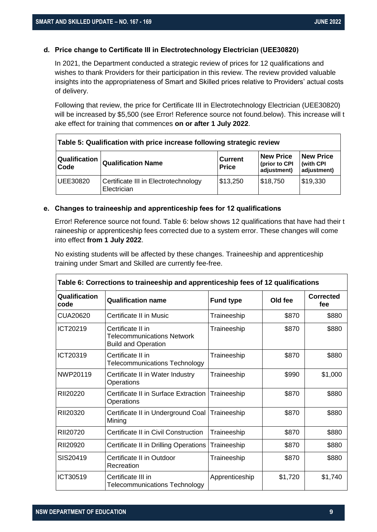#### <span id="page-8-0"></span>**d. Price change to Certificate III in Electrotechnology Electrician (UEE30820)**

In 2021, the Department conducted a strategic review of prices for 12 qualifications and wishes to thank Providers for their participation in this review. The review provided valuable insights into the appropriateness of Smart and Skilled prices relative to Providers' actual costs of delivery.

Following that review, the price for Certificate III in Electrotechnology Electrician (UEE30820) will be increased by \$5,500 (see Error! Reference source not found.below). This increase will t ake effect for training that commences **on or after 1 July 2022**.

| Table 5: Qualification with price increase following strategic review |                                                     |                                |                                                  |                                               |  |  |
|-----------------------------------------------------------------------|-----------------------------------------------------|--------------------------------|--------------------------------------------------|-----------------------------------------------|--|--|
| <b>Qualification</b><br><b>Qualification Name</b><br><b>Code</b>      |                                                     | <b>Current</b><br><b>Price</b> | <b>New Price</b><br>(prior to CPI<br>adjustment) | <b>New Price</b><br>(with CPI)<br>adjustment) |  |  |
| <b>UEE30820</b>                                                       | Certificate III in Electrotechnology<br>Electrician | \$13,250                       | \$18,750                                         | \$19,330                                      |  |  |

#### <span id="page-8-1"></span>**e. Changes to traineeship and apprenticeship fees for 12 qualifications**

Error! Reference source not found. Table 6: below shows 12 qualifications that have had their t raineeship or apprenticeship fees corrected due to a system error. These changes will come into effect **from 1 July 2022**.

No existing students will be affected by these changes. Traineeship and apprenticeship training under Smart and Skilled are currently fee-free.

| Table 6: Corrections to traineeship and apprenticeship fees of 12 qualifications |                                                                                      |                  |         |                         |  |  |  |
|----------------------------------------------------------------------------------|--------------------------------------------------------------------------------------|------------------|---------|-------------------------|--|--|--|
| Qualification<br>code                                                            | <b>Qualification name</b>                                                            | <b>Fund type</b> | Old fee | <b>Corrected</b><br>fee |  |  |  |
| <b>CUA20620</b>                                                                  | Certificate II in Music                                                              | Traineeship      | \$870   | \$880                   |  |  |  |
| ICT20219                                                                         | Certificate II in<br><b>Telecommunications Network</b><br><b>Build and Operation</b> | Traineeship      | \$870   | \$880                   |  |  |  |
| ICT20319                                                                         | Certificate II in<br><b>Telecommunications Technology</b>                            | Traineeship      | \$870   | \$880                   |  |  |  |
| NWP20119                                                                         | Certificate II in Water Industry<br>Operations                                       | Traineeship      | \$990   | \$1,000                 |  |  |  |
| RII20220                                                                         | Certificate II in Surface Extraction<br>Operations                                   | Traineeship      | \$870   | \$880                   |  |  |  |
| RII20320                                                                         | Certificate II in Underground Coal<br>Mining                                         | Traineeship      | \$870   | \$880                   |  |  |  |
| RII20720                                                                         | Certificate II in Civil Construction                                                 | Traineeship      | \$870   | \$880                   |  |  |  |
| RII20920                                                                         | Certificate II in Drilling Operations                                                | Traineeship      | \$870   | \$880                   |  |  |  |
| SIS20419                                                                         | Certificate II in Outdoor<br>Recreation                                              | Traineeship      | \$870   | \$880                   |  |  |  |
| ICT30519                                                                         | Certificate III in<br><b>Telecommunications Technology</b>                           | Apprenticeship   | \$1,720 | \$1,740                 |  |  |  |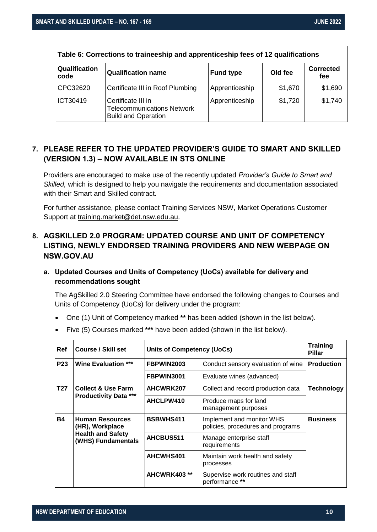| Table 6: Corrections to traineeship and apprenticeship fees of 12 qualifications |                                                                                       |                  |         |                         |  |  |  |
|----------------------------------------------------------------------------------|---------------------------------------------------------------------------------------|------------------|---------|-------------------------|--|--|--|
| Qualification<br>code                                                            | <b>Qualification name</b>                                                             | <b>Fund type</b> | Old fee | <b>Corrected</b><br>fee |  |  |  |
| CPC32620                                                                         | Certificate III in Roof Plumbing                                                      | Apprenticeship   | \$1,670 | \$1,690                 |  |  |  |
| ICT30419                                                                         | Certificate III in<br><b>Telecommunications Network</b><br><b>Build and Operation</b> | Apprenticeship   | \$1,720 | \$1,740                 |  |  |  |

# <span id="page-9-0"></span>**7. PLEASE REFER TO THE UPDATED PROVIDER'S GUIDE TO SMART AND SKILLED (VERSION 1.3) – NOW AVAILABLE IN STS ONLINE**

Providers are encouraged to make use of the recently updated *Provider's Guide to Smart and Skilled,* which is designed to help you navigate the requirements and documentation associated with their Smart and Skilled contract.

For further assistance, please contact Training Services NSW, Market Operations Customer Support at [training.market@det.nsw.edu.au.](mailto:training.market@det.nsw.edu.au)

# <span id="page-9-1"></span>**8. AGSKILLED 2.0 PROGRAM: UPDATED COURSE AND UNIT OF COMPETENCY LISTING, NEWLY ENDORSED TRAINING PROVIDERS AND NEW WEBPAGE ON NSW.GOV.AU**

# <span id="page-9-2"></span>**a. Updated Courses and Units of Competency (UoCs) available for delivery and recommendations sought**

The AgSkilled 2.0 Steering Committee have endorsed the following changes to Courses and Units of Competency (UoCs) for delivery under the program:

- One (1) Unit of Competency marked **\*\*** has been added (shown in the list below).
- Five (5) Courses marked **\*\*\*** have been added (shown in the list below).

| Ref                                                                              | <b>Course / Skill set</b>                                                                   | <b>Units of Competency (UoCs)</b> | <b>Training</b><br>Pillar                                      |                   |
|----------------------------------------------------------------------------------|---------------------------------------------------------------------------------------------|-----------------------------------|----------------------------------------------------------------|-------------------|
| <b>P23</b>                                                                       | <b>Wine Evaluation ***</b>                                                                  | FBPWIN2003                        | Conduct sensory evaluation of wine                             | <b>Production</b> |
|                                                                                  |                                                                                             | FBPWIN3001                        | Evaluate wines (advanced)                                      |                   |
| T <sub>27</sub><br><b>Collect &amp; Use Farm</b><br><b>Productivity Data ***</b> |                                                                                             | AHCWRK207                         | Collect and record production data                             | <b>Technology</b> |
|                                                                                  |                                                                                             | AHCLPW410                         | Produce maps for land<br>management purposes                   |                   |
| <b>B4</b>                                                                        | <b>Human Resources</b><br>(HR), Workplace<br><b>Health and Safety</b><br>(WHS) Fundamentals | <b>BSBWHS411</b>                  | Implement and monitor WHS<br>policies, procedures and programs | <b>Business</b>   |
|                                                                                  |                                                                                             | AHCBUS511                         | Manage enterprise staff<br>requirements                        |                   |
|                                                                                  |                                                                                             | AHCWHS401                         | Maintain work health and safety<br>processes                   |                   |
|                                                                                  |                                                                                             | AHCWRK403 **                      | Supervise work routines and staff<br>performance **            |                   |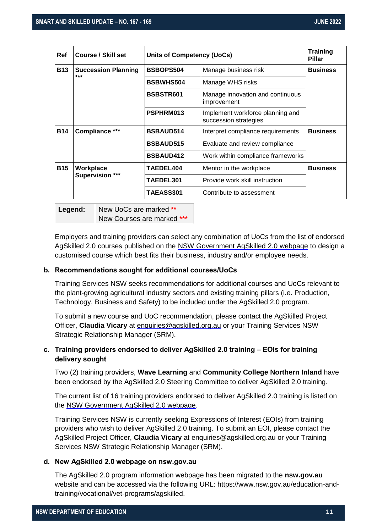| Ref        | <b>Course / Skill set</b>                                    |                                                                        | <b>Units of Competency (UoCs)</b> |                 |  |
|------------|--------------------------------------------------------------|------------------------------------------------------------------------|-----------------------------------|-----------------|--|
| <b>B13</b> | <b>Succession Planning</b><br>***                            | <b>BSBOPS504</b>                                                       | Manage business risk              | <b>Business</b> |  |
|            |                                                              | <b>BSBWHS504</b>                                                       | Manage WHS risks                  |                 |  |
|            | BSBSTR601<br>Manage innovation and continuous<br>improvement |                                                                        |                                   |                 |  |
|            |                                                              | PSPHRM013<br>Implement workforce planning and<br>succession strategies |                                   |                 |  |
| <b>B14</b> | Compliance ***<br><b>BSBAUD514</b>                           |                                                                        | Interpret compliance requirements | <b>Business</b> |  |
|            |                                                              | <b>BSBAUD515</b>                                                       | Evaluate and review compliance    |                 |  |
|            |                                                              | <b>BSBAUD412</b>                                                       | Work within compliance frameworks |                 |  |
| <b>B15</b> | Workplace                                                    | <b>TAEDEL404</b>                                                       | Mentor in the workplace           | <b>Business</b> |  |
|            | <b>Supervision ***</b>                                       | TAEDEL301                                                              | Provide work skill instruction    |                 |  |
|            | <b>TAEASS301</b><br>Contribute to assessment                 |                                                                        |                                   |                 |  |
|            |                                                              |                                                                        |                                   |                 |  |

**Legend:** New UoCs are marked \*\* New Courses are marked **\*\*\***

Employers and training providers can select any combination of UoCs from the list of endorsed AgSkilled 2.0 courses published on the [NSW Government AgSkilled](https://www.nsw.gov.au/education-and-training/vocational/vet-programs/agskilled) 2.0 webpage to design a customised course which best fits their business, industry and/or employee needs.

#### <span id="page-10-0"></span>**b. Recommendations sought for additional courses/UoCs**

Training Services NSW seeks recommendations for additional courses and UoCs relevant to the plant-growing agricultural industry sectors and existing training pillars (i.e. Production, Technology, Business and Safety) to be included under the AgSkilled 2.0 program.

To submit a new course and UoC recommendation, please contact the AgSkilled Project Officer, **Claudia Vicary** at [enquiries@agskilled.org.au](mailto:enquiries@agskilled.org.au) or your Training Services NSW Strategic Relationship Manager (SRM).

# <span id="page-10-1"></span>**c. Training providers endorsed to deliver AgSkilled 2.0 training – EOIs for training delivery sought**

Two (2) training providers, **Wave Learning** and **Community College Northern Inland** have been endorsed by the AgSkilled 2.0 Steering Committee to deliver AgSkilled 2.0 training.

The current list of 16 training providers endorsed to deliver AgSkilled 2.0 training is listed on the [NSW Government AgSkilled 2.0 webpage.](https://www.nsw.gov.au/education-and-training/vocational/vet-programs/agskilled)

Training Services NSW is currently seeking Expressions of Interest (EOIs) from training providers who wish to deliver AgSkilled 2.0 training. To submit an EOI, please contact the AgSkilled Project Officer, **Claudia Vicary** at [enquiries@agskilled.org.au](mailto:enquiries@agskilled.org.au) or your Training Services NSW Strategic Relationship Manager (SRM).

## <span id="page-10-2"></span>**d. New AgSkilled 2.0 webpage on nsw.gov.au**

The AgSkilled 2.0 program information webpage has been migrated to the **nsw.gov.au** website and can be accessed via the following URL: [https://www.nsw.gov.au/education-and](https://www.nsw.gov.au/education-and-training/vocational/vet-programs/agskilled)[training/vocational/vet-programs/agskilled.](https://www.nsw.gov.au/education-and-training/vocational/vet-programs/agskilled)